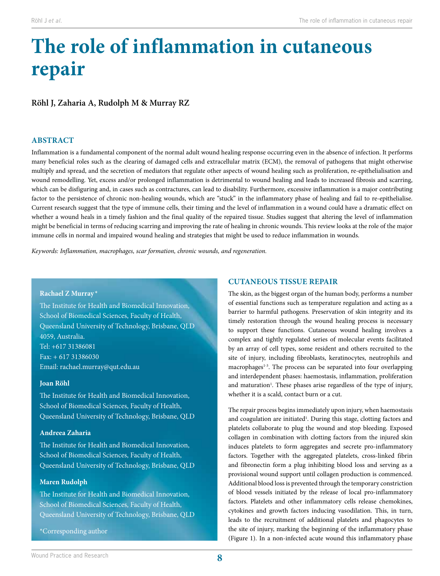# **The role of inflammation in cutaneous repair**

# **Röhl J, Zaharia A, Rudolph M & Murray RZ**

# **ABSTRACT**

Inflammation is a fundamental component of the normal adult wound healing response occurring even in the absence of infection. It performs many beneficial roles such as the clearing of damaged cells and extracellular matrix (ECM), the removal of pathogens that might otherwise multiply and spread, and the secretion of mediators that regulate other aspects of wound healing such as proliferation, re-epithelialisation and wound remodelling. Yet, excess and/or prolonged inflammation is detrimental to wound healing and leads to increased fibrosis and scarring, which can be disfiguring and, in cases such as contractures, can lead to disability. Furthermore, excessive inflammation is a major contributing factor to the persistence of chronic non-healing wounds, which are "stuck" in the inflammatory phase of healing and fail to re-epithelialise. Current research suggest that the type of immune cells, their timing and the level of inflammation in a wound could have a dramatic effect on whether a wound heals in a timely fashion and the final quality of the repaired tissue. Studies suggest that altering the level of inflammation might be beneficial in terms of reducing scarring and improving the rate of healing in chronic wounds. This review looks at the role of the major immune cells in normal and impaired wound healing and strategies that might be used to reduce inflammation in wounds.

*Keywords: Inflammation, macrophages, scar formation, chronic wounds, and regeneration.*

## **Rachael Z Murray \***

The Institute for Health and Biomedical Innovation, School of Biomedical Sciences, Faculty of Health, Queensland University of Technology, Brisbane, QLD 4059, Australia. Tel: +617 31386081 Fax: + 617 31386030 Email: rachael.murray@qut.edu.au

## **Joan Röhl**

The Institute for Health and Biomedical Innovation, School of Biomedical Sciences, Faculty of Health, Queensland University of Technology, Brisbane, QLD

# **Andreea Zaharia**

The Institute for Health and Biomedical Innovation, School of Biomedical Sciences, Faculty of Health, Queensland University of Technology, Brisbane, QLD

# **Maren Rudolph**

The Institute for Health and Biomedical Innovation, School of Biomedical Sciences, Faculty of Health, Queensland University of Technology, Brisbane, QLD

\*Corresponding author

# **CUTANEOUS TISSUE REPAIR**

The skin, as the biggest organ of the human body, performs a number of essential functions such as temperature regulation and acting as a barrier to harmful pathogens. Preservation of skin integrity and its timely restoration through the wound healing process is necessary to support these functions. Cutaneous wound healing involves a complex and tightly regulated series of molecular events facilitated by an array of cell types, some resident and others recruited to the site of injury, including fibroblasts, keratinocytes, neutrophils and macrophages<sup>1-3</sup>. The process can be separated into four overlapping and interdependent phases: haemostasis, inflammation, proliferation and maturation<sup>1</sup>. These phases arise regardless of the type of injury, whether it is a scald, contact burn or a cut.

The repair process begins immediately upon injury, when haemostasis and coagulation are initiated<sup>1</sup>. During this stage, clotting factors and platelets collaborate to plug the wound and stop bleeding. Exposed collagen in combination with clotting factors from the injured skin induces platelets to form aggregates and secrete pro-inflammatory factors. Together with the aggregated platelets, cross-linked fibrin and fibronectin form a plug inhibiting blood loss and serving as a provisional wound support until collagen production is commenced. Additional blood loss is prevented through the temporary constriction of blood vessels initiated by the release of local pro-inflammatory factors. Platelets and other inflammatory cells release chemokines, cytokines and growth factors inducing vasodilation. This, in turn, leads to the recruitment of additional platelets and phagocytes to the site of injury, marking the beginning of the inflammatory phase (Figure 1). In a non-infected acute wound this inflammatory phase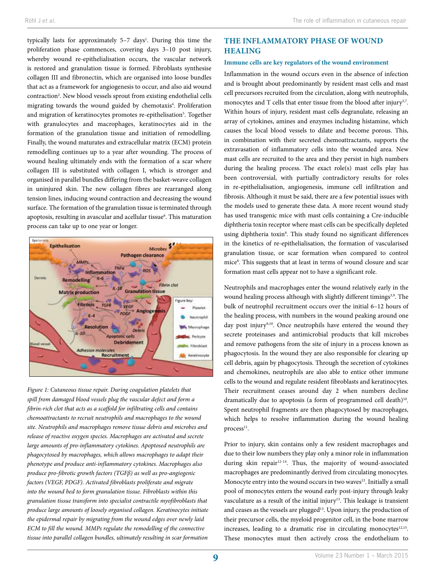typically lasts for approximately 5–7 days<sup>1</sup>. During this time the proliferation phase commences, covering days 3–10 post injury, whereby wound re-epithelialisation occurs, the vascular network is restored and granulation tissue is formed. Fibroblasts synthesise collagen III and fibronectin, which are organised into loose bundles that act as a framework for angiogenesis to occur, and also aid wound contraction<sup>2</sup>. New blood vessels sprout from existing endothelial cells migrating towards the wound guided by chemotaxis<sup>4</sup>. Proliferation and migration of keratinocytes promotes re-epithelisation<sup>5</sup>. Together with granulocytes and macrophages, keratinocytes aid in the formation of the granulation tissue and initiation of remodelling. Finally, the wound maturates and extracellular matrix (ECM) protein remodelling continues up to a year after wounding. The process of wound healing ultimately ends with the formation of a scar where collagen III is substituted with collagen I, which is stronger and organised in parallel bundles differing from the basket-weave collagen in uninjured skin. The new collagen fibres are rearranged along tension lines, inducing wound contraction and decreasing the wound surface. The formation of the granulation tissue is terminated through apoptosis, resulting in avascular and acellular tissue<sup>6</sup>. This maturation process can take up to one year or longer.



*Figure 1: Cutaneous tissue repair. During coagulation platelets that spill from damaged blood vessels plug the vascular defect and form a fibrin-rich clot that acts as a scaffold for infiltrating cells and contains chemoattractants to recruit neutrophils and macrophages to the wound site. Neutrophils and macrophages remove tissue debris and microbes and release of reactive oxygen species. Macrophages are activated and secrete large amounts of pro-inflammatory cytokines. Apoptosed neutrophils are phagocytosed by macrophages, which allows macrophages to adapt their phenotype and produce anti-inflammatory cytokines. Macrophages also produce pro-fibrotic growth factors (TGFβ) as well as pro-angiogenic factors (VEGF, PDGF). Activated fibroblasts proliferate and migrate into the wound bed to form granulation tissue. Fibroblasts within this granulation tissue transform into specialist contractile myofibroblasts that produce large amounts of loosely organised collagen. Keratinocytes initiate the epidermal repair by migrating from the wound edges over newly laid ECM to fill the wound. MMPs regulate the remodelling of the connective tissue into parallel collagen bundles, ultimately resulting in scar formation*

# **THE INFLAMMATORY PHASE OF WOUND HEALING**

#### **Immune cells are key regulators of the wound environment**

Inflammation in the wound occurs even in the absence of infection and is brought about predominantly by resident mast cells and mast cell precursors recruited from the circulation, along with neutrophils, monocytes and T cells that enter tissue from the blood after injury<sup>3,7</sup>. Within hours of injury, resident mast cells degranulate, releasing an array of cytokines, amines and enzymes including histamine, which causes the local blood vessels to dilate and become porous. This, in combination with their secreted chemoattractants, supports the extravasation of inflammatory cells into the wounded area. New mast cells are recruited to the area and they persist in high numbers during the healing process. The exact role(s) mast cells play has been controversial, with partially contradictory results for roles in re-epithelialisation, angiogenesis, immune cell infiltration and fibrosis. Although it must be said, there are a few potential issues with the models used to generate these data. A more recent wound study has used transgenic mice with mast cells containing a Cre-inducible diphtheria toxin receptor where mast cells can be specifically depleted using diphtheria toxin<sup>8</sup>. This study found no significant differences in the kinetics of re-epithelialisation, the formation of vascularised granulation tissue, or scar formation when compared to control mice<sup>8</sup>. This suggests that at least in terms of wound closure and scar formation mast cells appear not to have a significant role.

Neutrophils and macrophages enter the wound relatively early in the wound healing process although with slightly different timings<sup>3,9</sup>. The bulk of neutrophil recruitment occurs over the initial 6–12 hours of the healing process, with numbers in the wound peaking around one day post injury<sup>9,10</sup>. Once neutrophils have entered the wound they secrete proteinases and antimicrobial products that kill microbes and remove pathogens from the site of injury in a process known as phagocytosis. In the wound they are also responsible for clearing up cell debris, again by phagocytosis. Through the secretion of cytokines and chemokines, neutrophils are also able to entice other immune cells to the wound and regulate resident fibroblasts and keratinocytes. Their recruitment ceases around day 2 when numbers decline dramatically due to apoptosis (a form of programmed cell death)<sup>10</sup>. Spent neutrophil fragments are then phagocytosed by macrophages, which helps to resolve inflammation during the wound healing process<sup>11</sup>.

Prior to injury, skin contains only a few resident macrophages and due to their low numbers they play only a minor role in inflammation during skin repair<sup>12-14</sup>. Thus, the majority of wound-associated macrophages are predominantly derived from circulating monocytes. Monocyte entry into the wound occurs in two waves<sup>13</sup>. Initially a small pool of monocytes enters the wound early post-injury through leaky vasculature as a result of the initial injury<sup>13</sup>. This leakage is transient and ceases as the vessels are plugged<sup>13</sup>. Upon injury, the production of their precursor cells, the myeloid progenitor cell, in the bone marrow increases, leading to a dramatic rise in circulating monocytes $12,15$ . These monocytes must then actively cross the endothelium to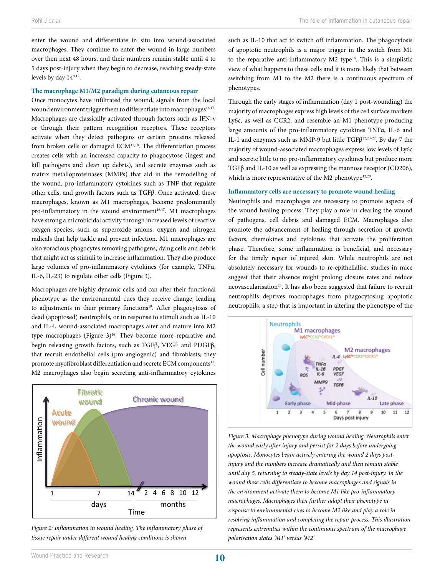enter the wound and differentiate in situ into wound-associated macrophages. They continue to enter the wound in large numbers over then next 48 hours, and their numbers remain stable until 4 to 5 days post-injury when they begin to decrease, reaching steady-state levels by day 149,12.

#### **The macrophage M1/M2 paradigm during cutaneous repair**

Once monocytes have infiltrated the wound, signals from the local wound environment trigger them to differentiate into macrophages<sup>16,17</sup>. Macrophages are classically activated through factors such as IFN-γ or through their pattern recognition receptors. These receptors activate when they detect pathogens or certain proteins released from broken cells or damaged ECM<sup>17,18</sup>. The differentiation process creates cells with an increased capacity to phagocytose (ingest and kill pathogens and clean up debris), and secrete enzymes such as matrix metalloproteinases (MMPs) that aid in the remodelling of the wound, pro-inflammatory cytokines such as TNF that regulate other cells, and growth factors such as TGFβ. Once activated, these macrophages, known as M1 macrophages, become predominantly pro-inflammatory in the wound environment<sup>16,17</sup>. M1 macrophages have strong a microbicidal activity through increased levels of reactive oxygen species, such as superoxide anions, oxygen and nitrogen radicals that help tackle and prevent infection. M1 macrophages are also voracious phagocytes removing pathogens, dying cells and debris that might act as stimuli to increase inflammation. They also produce large volumes of pro-inflammatory cytokines (for example, TNFα, IL-6, IL-23) to regulate other cells (Figure 3).

Macrophages are highly dynamic cells and can alter their functional phenotype as the environmental cues they receive change, leading to adjustments in their primary functions<sup>19</sup>. After phagocytosis of dead (apoptosed) neutrophils, or in response to stimuli such as IL-10 and IL-4, wound-associated macrophages alter and mature into M2 type macrophages (Figure  $3$ )<sup>16</sup>. They become more reparative and begin releasing growth factors, such as TGFβ, VEGF and PDGFβ, that recruit endothelial cells (pro-angiogenic) and fibroblasts; they promote myofibroblast differentiation and secrete ECM components<sup>17</sup>. M2 macrophages also begin secreting anti-inflammatory cytokines



*Figure 2: Inflammation in wound healing. The inflammatory phase of tissue repair under different wound healing conditions is shown*

such as IL-10 that act to switch off inflammation. The phagocytosis of apoptotic neutrophils is a major trigger in the switch from M1 to the reparative anti-inflammatory  $M2$  type<sup>16</sup>. This is a simplistic view of what happens to these cells and it is more likely that between switching from M1 to the M2 there is a continuous spectrum of phenotypes.

Through the early stages of inflammation (day 1 post-wounding) the majority of macrophages express high levels of the cell surface markers Ly6c, as well as CCR2, and resemble an M1 phenotype producing large amounts of the pro-inflammatory cytokines TNFα, IL-6 and IL-1 and enzymes such as MMP-9 but little TGFβ12,20-22. By day 7 the majority of wound-associated macrophages express low levels of Ly6c and secrete little to no pro-inflammatory cytokines but produce more TGFβ and IL-10 as well as expressing the mannose receptor (CD206), which is more representative of the M2 phenotype $12,20$ .

#### **Inflammatory cells are necessary to promote wound healing**

Neutrophils and macrophages are necessary to promote aspects of the wound healing process. They play a role in clearing the wound of pathogens, cell debris and damaged ECM. Macrophages also promote the advancement of healing through secretion of growth factors, chemokines and cytokines that activate the proliferation phase. Therefore, some inflammation is beneficial, and necessary for the timely repair of injured skin. While neutrophils are not absolutely necessary for wounds to re-epithelialise, studies in mice suggest that their absence might prolong closure rates and reduce neovascularisation<sup>23</sup>. It has also been suggested that failure to recruit neutrophils deprives macrophages from phagocytosing apoptotic neutrophils, a step that is important in altering the phenotype of the



*Figure 3: Macrophage phenotype during wound healing. Neutrophils enter the wound early after injury and persist for 2 days before undergoing apoptosis. Monocytes begin actively entering the wound 2 days postinjury and the numbers increase dramatically and then remain stable until day 5, returning to steady-state levels by day 14 post-injury. In the wound these cells differentiate to become macrophages and signals in the environment activate them to become M1 like pro-inflammatory macrophages. Macrophages then further adapt their phenotype in response to environmental cues to become M2 like and play a role in resolving inflammation and completing the repair process. This illustration represents extremities within the continuous spectrum of the macrophage polarisation states 'M1' versus 'M2'*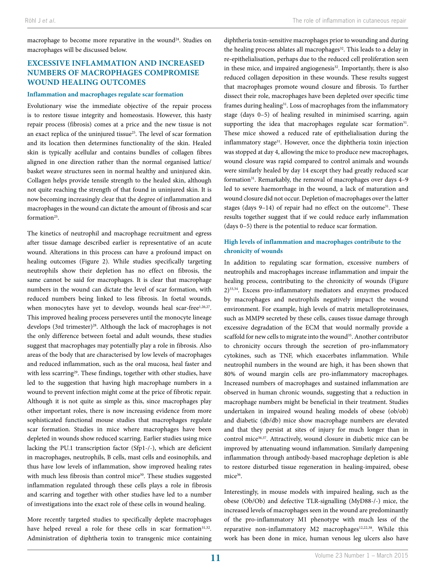macrophage to become more reparative in the wound<sup>24</sup>. Studies on macrophages will be discussed below.

# **EXCESSIVE INFLAMMATION AND INCREASED NUMBERS OF MACROPHAGES COMPROMISE WOUND HEALING OUTCOMES**

#### **Inflammation and macrophages regulate scar formation**

Evolutionary wise the immediate objective of the repair process is to restore tissue integrity and homeostasis. However, this hasty repair process (fibrosis) comes at a price and the new tissue is not an exact replica of the uninjured tissue<sup>25</sup>. The level of scar formation and its location then determines functionality of the skin. Healed skin is typically acellular and contains bundles of collagen fibres aligned in one direction rather than the normal organised lattice/ basket weave structures seen in normal healthy and uninjured skin. Collagen helps provide tensile strength to the healed skin, although not quite reaching the strength of that found in uninjured skin. It is now becoming increasingly clear that the degree of inflammation and macrophages in the wound can dictate the amount of fibrosis and scar formation25.

The kinetics of neutrophil and macrophage recruitment and egress after tissue damage described earlier is representative of an acute wound. Alterations in this process can have a profound impact on healing outcomes (Figure 2). While studies specifically targeting neutrophils show their depletion has no effect on fibrosis, the same cannot be said for macrophages. It is clear that macrophage numbers in the wound can dictate the level of scar formation, with reduced numbers being linked to less fibrosis. In foetal wounds, when monocytes have yet to develop, wounds heal scar-free<sup>1,26,27</sup>. This improved healing process perseveres until the monocyte lineage develops (3rd trimester)<sup>28</sup>. Although the lack of macrophages is not the only difference between foetal and adult wounds, these studies suggest that macrophages may potentially play a role in fibrosis. Also areas of the body that are characterised by low levels of macrophages and reduced inflammation, such as the oral mucosa, heal faster and with less scarring<sup>29</sup>. These findings, together with other studies, have led to the suggestion that having high macrophage numbers in a wound to prevent infection might come at the price of fibrotic repair. Although it is not quite as simple as this, since macrophages play other important roles, there is now increasing evidence from more sophisticated functional mouse studies that macrophages regulate scar formation. Studies in mice where macrophages have been depleted in wounds show reduced scarring. Earlier studies using mice lacking the PU.1 transcription factor (Sfp1-/-), which are deficient in macrophages, neutrophils, B cells, mast cells and eosinophils, and thus have low levels of inflammation, show improved healing rates with much less fibrosis than control mice<sup>30</sup>. These studies suggested inflammation regulated through these cells plays a role in fibrosis and scarring and together with other studies have led to a number of investigations into the exact role of these cells in wound healing.

More recently targeted studies to specifically deplete macrophages have helped reveal a role for these cells in scar formation<sup>31,32</sup>. Administration of diphtheria toxin to transgenic mice containing diphtheria toxin-sensitive macrophages prior to wounding and during the healing process ablates all macrophages<sup>32</sup>. This leads to a delay in re-epithelialisation, perhaps due to the reduced cell proliferation seen in these mice, and impaired angiogenesis<sup>32</sup>. Importantly, there is also reduced collagen deposition in these wounds. These results suggest that macrophages promote wound closure and fibrosis. To further dissect their role, macrophages have been depleted over specific time frames during healing<sup>31</sup>. Loss of macrophages from the inflammatory stage (days 0–5) of healing resulted in minimised scarring, again supporting the idea that macrophages regulate scar formation<sup>31</sup>. These mice showed a reduced rate of epithelialisation during the inflammatory stage<sup>31</sup>. However, once the diphtheria toxin injection was stopped at day 4, allowing the mice to produce new macrophages, wound closure was rapid compared to control animals and wounds were similarly healed by day 14 except they had greatly reduced scar formation<sup>31</sup>. Remarkably, the removal of macrophages over days 4-9 led to severe haemorrhage in the wound, a lack of maturation and wound closure did not occur. Depletion of macrophages over the latter stages (days  $9-14$ ) of repair had no effect on the outcome<sup>31</sup>. These results together suggest that if we could reduce early inflammation (days 0–5) there is the potential to reduce scar formation.

## **High levels of inflammation and macrophages contribute to the chronicity of wounds**

In addition to regulating scar formation, excessive numbers of neutrophils and macrophages increase inflammation and impair the healing process, contributing to the chronicity of wounds (Figure 2)33,34. Excess pro-inflammatory mediators and enzymes produced by macrophages and neutrophils negatively impact the wound environment. For example, high levels of matrix metalloproteinases, such as MMP9 secreted by these cells, causes tissue damage through excessive degradation of the ECM that would normally provide a scaffold for new cells to migrate into the wound<sup>35</sup>. Another contributor to chronicity occurs through the secretion of pro-inflammatory cytokines, such as TNF, which exacerbates inflammation. While neutrophil numbers in the wound are high, it has been shown that 80% of wound margin cells are pro-inflammatory macrophages. Increased numbers of macrophages and sustained inflammation are observed in human chronic wounds, suggesting that a reduction in macrophage numbers might be beneficial in their treatment. Studies undertaken in impaired wound healing models of obese (ob/ob) and diabetic (db/db) mice show macrophage numbers are elevated and that they persist at sites of injury for much longer than in control mice<sup>36,37</sup>. Attractively, wound closure in diabetic mice can be improved by attenuating wound inflammation. Similarly dampening inflammation through antibody-based macrophage depletion is able to restore disturbed tissue regeneration in healing-impaired, obese mice<sup>36</sup>.

Interestingly, in mouse models with impaired healing, such as the obese (Ob/Ob) and defective TLR-signalling (MyD88-/-) mice, the increased levels of macrophages seen in the wound are predominantly of the pro-inflammatory M1 phenotype with much less of the reparative non-inflammatory M2 macrophages<sup>12,22,38</sup>. While this work has been done in mice, human venous leg ulcers also have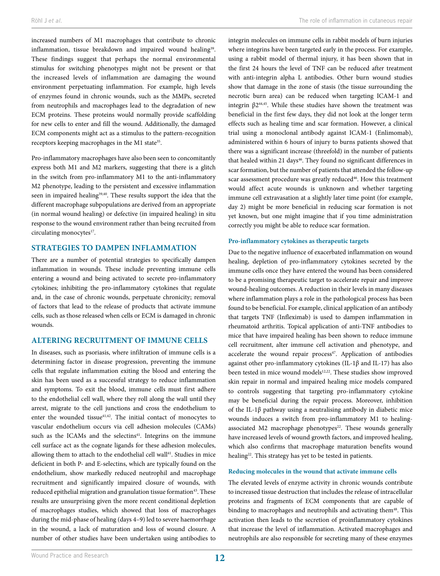increased numbers of M1 macrophages that contribute to chronic inflammation, tissue breakdown and impaired wound healing<sup>39</sup>. These findings suggest that perhaps the normal environmental stimulus for switching phenotypes might not be present or that the increased levels of inflammation are damaging the wound environment perpetuating inflammation. For example, high levels of enzymes found in chronic wounds, such as the MMPs, secreted from neutrophils and macrophages lead to the degradation of new ECM proteins. These proteins would normally provide scaffolding for new cells to enter and fill the wound. Additionally, the damaged ECM components might act as a stimulus to the pattern-recognition receptors keeping macrophages in the M1 state<sup>35</sup>.

Pro-inflammatory macrophages have also been seen to concomitantly express both M1 and M2 markers, suggesting that there is a glitch in the switch from pro-inflammatory M1 to the anti-inflammatory M2 phenotype, leading to the persistent and excessive inflammation seen in impaired healing<sup>39,40</sup>. These results support the idea that the different macrophage subpopulations are derived from an appropriate (in normal wound healing) or defective (in impaired healing) in situ response to the wound environment rather than being recruited from circulating monocytes<sup>17</sup>.

## **STRATEGIES TO DAMPEN INFLAMMATION**

There are a number of potential strategies to specifically dampen inflammation in wounds. These include preventing immune cells entering a wound and being activated to secrete pro-inflammatory cytokines; inhibiting the pro-inflammatory cytokines that regulate and, in the case of chronic wounds, perpetuate chronicity; removal of factors that lead to the release of products that activate immune cells, such as those released when cells or ECM is damaged in chronic wounds.

## **ALTERING RECRUITMENT OF IMMUNE CELLS**

In diseases, such as psoriasis, where infiltration of immune cells is a determining factor in disease progression, preventing the immune cells that regulate inflammation exiting the blood and entering the skin has been used as a successful strategy to reduce inflammation and symptoms. To exit the blood, immune cells must first adhere to the endothelial cell wall, where they roll along the wall until they arrest, migrate to the cell junctions and cross the endothelium to enter the wounded tissue<sup>41,42</sup>. The initial contact of monocytes to vascular endothelium occurs via cell adhesion molecules (CAMs) such as the ICAMs and the selectins<sup>41</sup>. Integrins on the immune cell surface act as the cognate ligands for these adhesion molecules, allowing them to attach to the endothelial cell wall<sup>41</sup>. Studies in mice deficient in both P- and E-selectins, which are typically found on the endothelium, show markedly reduced neutrophil and macrophage recruitment and significantly impaired closure of wounds, with reduced epithelial migration and granulation tissue formation<sup>43</sup>. These results are unsurprising given the more recent conditional depletion of macrophages studies, which showed that loss of macrophages during the mid-phase of healing (days 4–9) led to severe haemorrhage in the wound, a lack of maturation and loss of wound closure. A number of other studies have been undertaken using antibodies to

integrin molecules on immune cells in rabbit models of burn injuries where integrins have been targeted early in the process. For example, using a rabbit model of thermal injury, it has been shown that in the first 24 hours the level of TNF can be reduced after treatment with anti-integrin alpha L antibodies. Other burn wound studies show that damage in the zone of stasis (the tissue surrounding the necrotic burn area) can be reduced when targeting ICAM-1 and integrin  $β2^{44,45}$ . While these studies have shown the treatment was beneficial in the first few days, they did not look at the longer term effects such as healing time and scar formation. However, a clinical trial using a monoclonal antibody against ICAM-1 (Enlimomab), administered within 6 hours of injury to burns patients showed that there was a significant increase (threefold) in the number of patients that healed within 21 days<sup>46</sup>. They found no significant differences in scar formation, but the number of patients that attended the follow-up scar assessment procedure was greatly reduced<sup>46</sup>. How this treatment would affect acute wounds is unknown and whether targeting immune cell extravasation at a slightly later time point (for example, day 2) might be more beneficial in reducing scar formation is not yet known, but one might imagine that if you time administration correctly you might be able to reduce scar formation.

#### **Pro-inflammatory cytokines as therapeutic targets**

Due to the negative influence of exacerbated inflammation on wound healing, depletion of pro-inflammatory cytokines secreted by the immune cells once they have entered the wound has been considered to be a promising therapeutic target to accelerate repair and improve wound-healing outcomes. A reduction in their levels in many diseases where inflammation plays a role in the pathological process has been found to be beneficial. For example, clinical application of an antibody that targets TNF (Infleximab) is used to dampen inflammation in rheumatoid arthritis. Topical application of anti-TNF antibodies to mice that have impaired healing has been shown to reduce immune cell recruitment, alter immune cell activation and phenotype, and accelerate the wound repair process<sup>47</sup>. Application of antibodies against other pro-inflammatory cytokines (IL-1β and IL-17) has also been tested in mice wound models<sup>12,22</sup>. These studies show improved skin repair in normal and impaired healing mice models compared to controls suggesting that targeting pro-inflammatory cytokine may be beneficial during the repair process. Moreover, inhibition of the IL-1β pathway using a neutralising antibody in diabetic mice wounds induces a switch from pro-inflammatory M1 to healingassociated M2 macrophage phenotypes<sup>22</sup>. These wounds generally have increased levels of wound growth factors, and improved healing, which also confirms that macrophage maturation benefits wound healing<sup>22</sup>. This strategy has yet to be tested in patients.

#### **Reducing molecules in the wound that activate immune cells**

The elevated levels of enzyme activity in chronic wounds contribute to increased tissue destruction that includes the release of intracellular proteins and fragments of ECM components that are capable of binding to macrophages and neutrophils and activating them<sup>48</sup>. This activation then leads to the secretion of proinflammatory cytokines that increase the level of inflammation. Activated macrophages and neutrophils are also responsible for secreting many of these enzymes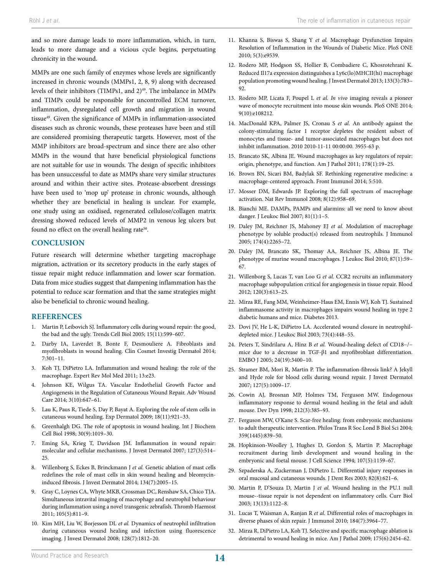and so more damage leads to more inflammation, which, in turn, leads to more damage and a vicious cycle begins, perpetuating chronicity in the wound.

MMPs are one such family of enzymes whose levels are significantly increased in chronic wounds (MMPs1, 2, 8, 9) along with decreased levels of their inhibitors (TIMPs1, and 2)<sup>49</sup>. The imbalance in MMPs and TIMPs could be responsible for uncontrolled ECM turnover, inflammation, dysregulated cell growth and migration in wound tissue<sup>49</sup>. Given the significance of MMPs in inflammation-associated diseases such as chronic wounds, these proteases have been and still are considered promising therapeutic targets. However, most of the MMP inhibitors are broad-spectrum and since there are also other MMPs in the wound that have beneficial physiological functions are not suitable for use in wounds. The design of specific inhibitors has been unsuccessful to date as MMPs share very similar structures around and within their active sites. Protease-absorbent dressings have been used to 'mop up' protease in chronic wounds, although whether they are beneficial in healing is unclear. For example, one study using an oxidised, regenerated cellulose/collagen matrix dressing showed reduced levels of MMP2 in venous leg ulcers but found no effect on the overall healing rate<sup>50</sup>.

## **CONCLUSION**

Future research will determine whether targeting macrophage migration, activation or its secretory products in the early stages of tissue repair might reduce inflammation and lower scar formation. Data from mice studies suggest that dampening inflammation has the potential to reduce scar formation and that the same strategies might also be beneficial to chronic wound healing.

## **REFERENCES**

- 1. Martin P, Leibovich SJ. Inflammatory cells during wound repair: the good, the bad and the ugly. Trends Cell Biol 2005; 15(11):599–607.
- 2. Darby IA, Laverdet B, Bonte F, Desmouliere A. Fibroblasts and myofibroblasts in wound healing. Clin Cosmet Investig Dermatol 2014; 7:301–11.
- 3. Koh TJ, DiPietro LA. Inflammation and wound healing: the role of the macrophage. Expert Rev Mol Med 2011; 13:e23.
- 4. Johnson KE, Wilgus TA. Vascular Endothelial Growth Factor and Angiogenesis in the Regulation of Cutaneous Wound Repair. Adv Wound Care 2014; 3(10):647–61.
- 5. Lau K, Paus R, Tiede S, Day P, Bayat A. Exploring the role of stem cells in cutaneous wound healing. Exp Dermatol 2009; 18(11):921–33.
- 6. Greenhalgh DG. The role of apoptosis in wound healing. Int J Biochem Cell Biol 1998; 30(9):1019–30.
- 7. Eming SA, Krieg T, Davidson JM. Inflammation in wound repair: molecular and cellular mechanisms. J Invest Dermatol 2007; 127(3):514– 25.
- 8. Willenborg S, Eckes B, Brinckmann J *et al.* Genetic ablation of mast cells redefines the role of mast cells in skin wound healing and bleomycininduced fibrosis. J Invest Dermatol 2014; 134(7):2005–15.
- 9. Gray C, Loynes CA, Whyte MKB, Crossman DC, Renshaw SA, Chico TJA. Simultaneous intravital imaging of macrophage and neutrophil behaviour during inflammation using a novel transgenic zebrafish. Thromb Haemost 2011; 105(5):811–9.
- 10. Kim MH, Liu W, Borjesson DL *et al.* Dynamics of neutrophil infiltration during cutaneous wound healing and infection using fluorescence imaging. J Invest Dermatol 2008; 128(7):1812–20.
- 11. Khanna S, Biswas S, Shang Y *et al.* Macrophage Dysfunction Impairs Resolution of Inflammation in the Wounds of Diabetic Mice. PloS ONE 2010; 5(3):e9539.
- 12. Rodero MP, Hodgson SS, Hollier B, Combadiere C, Khosrotehrani K. Reduced Il17a expression distinguishes a Ly6c(lo)MHCII(hi) macrophage population promoting wound healing. J Invest Dermatol 2013; 133(3):783– 92
- 13. Rodero MP, Licata F, Poupel L *et al. In vivo* imaging reveals a pioneer wave of monocyte recruitment into mouse skin wounds. PloS ONE 2014; 9(10):e108212.
- 14. MacDonald KPA, Palmer JS, Cronau S *et al.* An antibody against the colony-stimulating factor 1 receptor depletes the resident subset of monocytes and tissue- and tumor-associated macrophages but does not inhibit inflammation. 2010 2010-11-11 00:00:00. 3955-63 p.
- 15. Brancato SK, Albina JE. Wound macrophages as key regulators of repair: origin, phenotype, and function. Am J Pathol 2011; 178(1):19–25.
- 16. Brown BN, Sicari BM, Badylak SF. Rethinking regenerative medicine: a macrophage-centered approach. Front Immunol 2014; 5:510.
- 17. Mosser DM, Edwards JP. Exploring the full spectrum of macrophage activation. Nat Rev Immunol 2008; 8(12):958–69.
- 18. Bianchi ME. DAMPs, PAMPs and alarmins: all we need to know about danger. J Leukoc Biol 2007; 81(1):1–5.
- 19. Daley JM, Reichner JS, Mahoney EJ *et al.* Modulation of macrophage phenotype by soluble product(s) released from neutrophils. J Immunol 2005; 174(4):2265–72.
- 20. Daley JM, Brancato SK, Thomay AA, Reichner JS, Albina JE. The phenotype of murine wound macrophages. J Leukoc Biol 2010; 87(1):59– 67.
- 21. Willenborg S, Lucas T, van Loo G *et al.* CCR2 recruits an inflammatory macrophage subpopulation critical for angiogenesis in tissue repair. Blood 2012; 120(3):613–25.
- 22. Mirza RE, Fang MM, Weinheimer-Haus EM, Ennis WJ, Koh TJ. Sustained inflammasome activity in macrophages impairs wound healing in type 2 diabetic humans and mice. Diabetes 2013.
- 23. Dovi JV, He L-K, DiPietro LA. Accelerated wound closure in neutrophildepleted mice. J Leukoc Biol 2003; 73(4):448–55.
- 24. Peters T, Sindrilaru A, Hinz B *et al.* Wound‐healing defect of CD18−/− mice due to a decrease in TGF‐β1 and myofibroblast differentiation. EMBO J 2005; 24(19):3400–10.
- 25. Stramer BM, Mori R, Martin P. The inflammation-fibrosis link? A Jekyll and Hyde role for blood cells during wound repair. J Invest Dermatol 2007; 127(5):1009–17.
- 26. Cowin AJ, Brosnan MP, Holmes TM, Ferguson MW. Endogenous inflammatory response to dermal wound healing in the fetal and adult mouse. Dev Dyn 1998; 212(3):385–93.
- 27. Ferguson MW, O'Kane S. Scar-free healing: from embryonic mechanisms to adult therapeutic intervention. Philos Trans R Soc Lond B Biol Sci 2004; 359(1445):839–50.
- 28. Hopkinson-Woolley J, Hughes D, Gordon S, Martin P. Macrophage recruitment during limb development and wound healing in the embryonic and foetal mouse. J Cell Science 1994; 107(5):1159–67.
- 29. Szpaderska A, Zuckerman J, DiPietro L. Differential injury responses in oral mucosal and cutaneous wounds. J Dent Res 2003; 82(8):621–6.
- 30. Martin P, D'Souza D, Martin J *et al.* Wound healing in the PU.1 null mouse--tissue repair is not dependent on inflammatory cells. Curr Biol 2003; 13(13):1122–8.
- 31. Lucas T, Waisman A, Ranjan R *et al.* Differential roles of macrophages in diverse phases of skin repair. J Immunol 2010; 184(7):3964–77.
- 32. Mirza R, DiPietro LA, Koh TJ. Selective and specific macrophage ablation is detrimental to wound healing in mice. Am J Pathol 2009; 175(6):2454–62.